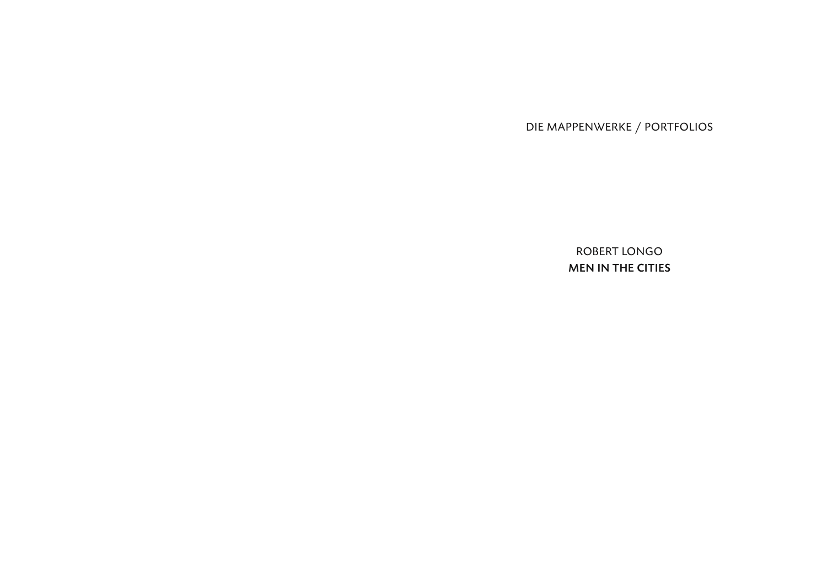DIE MAPPENWERKE / PORTFOLIOS

ROBERT LONGO MEN IN THE CITIES